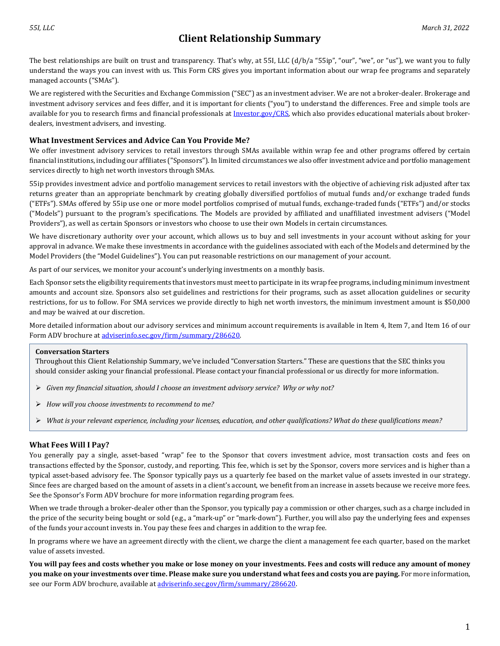The best relationships are built on trust and transparency. That's why, at 55I, LLC (d/b/a "55ip", "our", "we", or "us"), we want you to fully understand the ways you can invest with us. This Form CRS gives you important information about our wrap fee programs and separately managed accounts ("SMAs").

We are registered with the Securities and Exchange Commission ("SEC") as an investment adviser. We are not a broker-dealer. Brokerage and investment advisory services and fees differ, and it is important for clients ("you") to understand the differences. Free and simple tools are available for you to research firms and financial professionals at [Investor.gov/CRS,](http://www.investor.gov/CRS) which also provides educational materials about brokerdealers, investment advisers, and investing.

# **What Investment Services and Advice Can You Provide Me?**

We offer investment advisory services to retail investors through SMAs available within wrap fee and other programs offered by certain financial institutions, including our affiliates ("Sponsors"). In limited circumstances we also offer investment advice and portfolio management services directly to high net worth investors through SMAs.

55ip provides investment advice and portfolio management services to retail investors with the objective of achieving risk adjusted after tax returns greater than an appropriate benchmark by creating globally diversified portfolios of mutual funds and/or exchange traded funds ("ETFs"). SMAs offered by 55ip use one or more model portfolios comprised of mutual funds, exchange-traded funds ("ETFs") and/or stocks ("Models") pursuant to the program's specifications. The Models are provided by affiliated and unaffiliated investment advisers ("Model Providers"), as well as certain Sponsors or investors who choose to use their own Models in certain circumstances.

We have discretionary authority over your account, which allows us to buy and sell investments in your account without asking for your approval in advance. We make these investments in accordance with the guidelines associated with each of the Models and determined by the Model Providers (the "Model Guidelines"). You can put reasonable restrictions on our management of your account.

As part of our services, we monitor your account's underlying investments on a monthly basis.

Each Sponsor sets the eligibility requirements that investors must meet to participate in its wrap fee programs, including minimum investment amounts and account size. Sponsors also set guidelines and restrictions for their programs, such as asset allocation guidelines or security restrictions, for us to follow. For SMA services we provide directly to high net worth investors, the minimum investment amount is \$50,000 and may be waived at our discretion.

More detailed information about our advisory services and minimum account requirements is available in Item 4, Item 7, and Item 16 of our Form ADV brochure a[t adviserinfo.sec.gov/firm/summary/286620.](http://www.adviserinfo.sec.gov/firm/summary/286620) 

### **Conversation Starters**

Throughout this Client Relationship Summary, we've included "Conversation Starters." These are questions that the SEC thinks you should consider asking your financial professional. Please contact your financial professional or us directly for more information.

- *Given my financial situation, should I choose an investment advisory service? Why or why not?*
- *How will you choose investments to recommend to me?*
- *What is your relevant experience, including your licenses, education, and other qualifications? What do these qualifications mean?*

# **What Fees Will I Pay?**

You generally pay a single, asset-based "wrap" fee to the Sponsor that covers investment advice, most transaction costs and fees on transactions effected by the Sponsor, custody, and reporting. This fee, which is set by the Sponsor, covers more services and is higher than a typical asset-based advisory fee. The Sponsor typically pays us a quarterly fee based on the market value of assets invested in our strategy. Since fees are charged based on the amount of assets in a client's account, we benefit from an increase in assets because we receive more fees. See the Sponsor's Form ADV brochure for more information regarding program fees.

When we trade through a broker-dealer other than the Sponsor, you typically pay a commission or other charges, such as a charge included in the price of the security being bought or sold (e.g., a "mark-up" or "mark-down"). Further, you will also pay the underlying fees and expenses of the funds your account invests in. You pay these fees and charges in addition to the wrap fee.

In programs where we have an agreement directly with the client, we charge the client a management fee each quarter, based on the market value of assets invested.

**You will pay fees and costs whether you make or lose money on your investments. Fees and costs will reduce any amount of money you make on your investments over time. Please make sure you understand what fees and costs you are paying.** For more information, see our Form ADV brochure, available at adviserinfo.sec.gov/firm/summary/286620.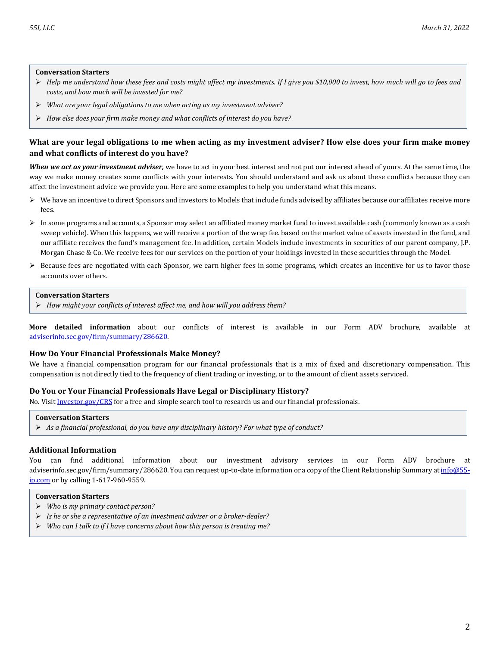#### **Conversation Starters**

- *Help me understand how these fees and costs might affect my investments. If I give you \$10,000 to invest, how much will go to fees and costs, and how much will be invested for me?*
- *What are your legal obligations to me when acting as my investment adviser?*
- *How else does your firm make money and what conflicts of interest do you have?*

## **What are your legal obligations to me when acting as my investment adviser? How else does your firm make money and what conflicts of interest do you have?**

*When we act as your investment adviser,* we have to act in your best interest and not put our interest ahead of yours. At the same time, the way we make money creates some conflicts with your interests. You should understand and ask us about these conflicts because they can affect the investment advice we provide you. Here are some examples to help you understand what this means.

- $\triangleright$  We have an incentive to direct Sponsors and investors to Models that include funds advised by affiliates because our affiliates receive more fees.
- $\triangleright$  In some programs and accounts, a Sponsor may select an affiliated money market fund to invest available cash (commonly known as a cash sweep vehicle). When this happens, we will receive a portion of the wrap fee. based on the market value of assets invested in the fund, and our affiliate receives the fund's management fee. In addition, certain Models include investments in securities of our parent company, J.P. Morgan Chase & Co. We receive fees for our services on the portion of your holdings invested in these securities through the Model.
- $\triangleright$  Because fees are negotiated with each Sponsor, we earn higher fees in some programs, which creates an incentive for us to favor those accounts over others.

#### **Conversation Starters**

*How might your conflicts of interest affect me, and how will you address them?*

**More detailed information** about our conflicts of interest is available in our Form ADV brochure, available at [adviserinfo.sec.gov/firm/summary/286620.](http://www.adviserinfo.sec.gov/firm/summary/286620)

#### **How Do Your Financial Professionals Make Money?**

We have a financial compensation program for our financial professionals that is a mix of fixed and discretionary compensation. This compensation is not directly tied to the frequency of client trading or investing, or to the amount of client assets serviced.

#### **Do You or Your Financial Professionals Have Legal or Disciplinary History?**

No. Visi[t Investor.gov/CRS](http://www.investor.gov/CRS) for a free and simple search tool to research us and our financial professionals.

#### **Conversation Starters**

*As a financial professional, do you have any disciplinary history? For what type of conduct?*

#### **Additional Information**

You can find additional information about our investment advisory services in our Form ADV brochure at adviserinfo.sec.gov/firm/summary/286620. You can request up-to-date information or a copy of the Client Relationship Summary a[t info@55](mailto:info@55-ip.com) [ip.com](mailto:info@55-ip.com) or by calling 1-617-960-9559.

### **Conversation Starters**

- *Who is my primary contact person?*
- *Is he or she a representative of an investment adviser or a broker-dealer?*
- *Who can I talk to if I have concerns about how this person is treating me?*